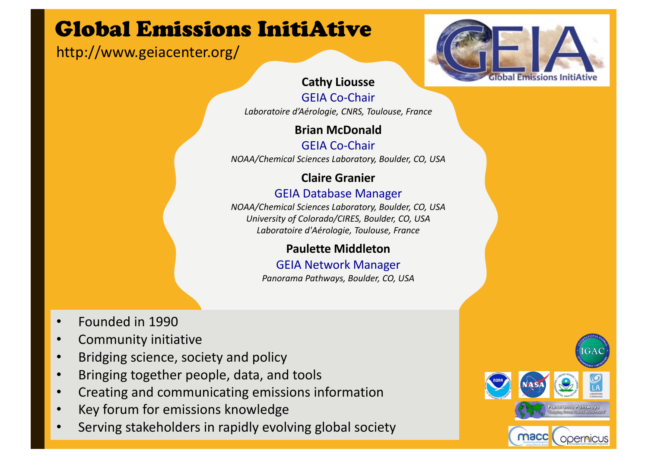# Global Emissions InitiAtive

## http://www.geiacenter.org/



### **Cathy Liousse**

GEIA Co-Chair *Laboratoire d'Aérologie, CNRS, Toulouse, France*

## **Brian McDonald**

GEIA Co-Chair *NOAA/Chemical Sciences Laboratory, Boulder, CO, USA*

## **Claire Granier**

#### GEIA Database Manager

*NOAA/Chemical Sciences Laboratory, Boulder, CO, USA University of Colorado/CIRES, Boulder, CO, USA Laboratoire d'Aérologie, Toulouse, France*

### **Paulette Middleton**

GEIA Network Manager *Panorama Pathways, Boulder, CO, USA*

- Founded in 1990
- Community initiative
- Bridging science, society and policy
- Bringing together people, data, and tools
- Creating and communicating emissions information
- Key forum for emissions knowledge
- Serving stakeholders in rapidly evolving global society

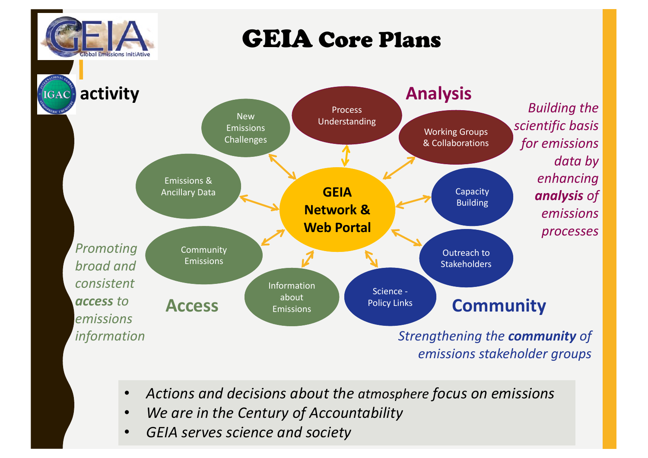

# GEIA Core Plans

**activityAnalysis** IGAC<sup></sup> **Building the** Process New Understanding *scientific basis*  Emissions **Working Groups Challenges** for *emissions* & Collaborations data by *enhancing*  Emissions & **GEIA**  Capacity Ancillary Data analysis of Building **Network &** *emissions*  **Web Portal** *processes* **Promoting** Community Outreach to **Emissions** *broad and*  **Stakeholders** *consistent*  **Information** Science about *access to*  **Policy Links** Access **Emissions Policy Links Community** Emissions *emissions*  **Strengthening the community of** *information emissions stakeholder groups*

- *Actions and decisions about the atmosphere focus on emissions*
- We are in the Century of Accountability
- *GEIA serves science and society*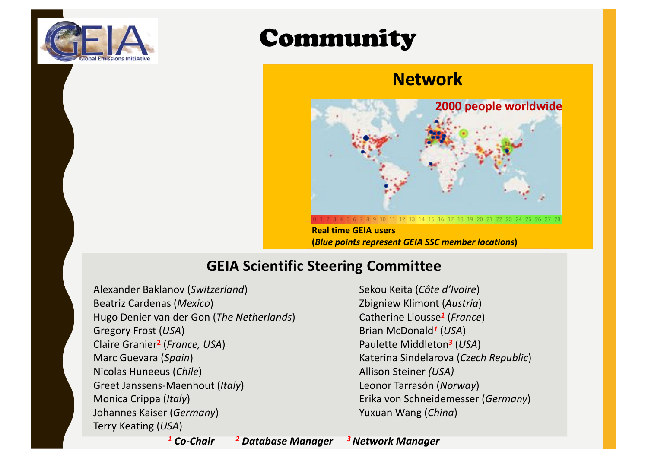

# Community

## **Network**



**Real time GEIA users (***Blue points represent GEIA SSC member locations***)**

## **GEIA Scientific Steering Committee**

Alexander Baklanov (*Switzerland*) Beatriz Cardenas (*Mexico*) Hugo Denier van der Gon (*The Netherlands*) Gregory Frost (*USA*) Claire Granier**<sup>2</sup>** (*France, USA*) Marc Guevara (*Spain*) Nicolas Huneeus (*Chile*) Greet Janssens-Maenhout (*Italy*) Monica Crippa (*Italy*) Johannes Kaiser (*Germany*) Terry Keating (*USA*)

Sekou Keita (Côte d'Ivoire) Zbigniew Klimont (*Austria*) Catherine Liousse*<sup>1</sup>* (*France*) Brian McDonald*<sup>1</sup>* (*USA*) Paulette Middleton*<sup>3</sup>* (*USA*) Katerina Sindelarova (*Czech Republic*) Allison Steiner *(USA)* Leonor Tarrasón (*Norway*) Erika von Schneidemesser (*Germany*) Yuxuan Wang (China)

*<sup>2</sup> Database Manager <sup>1</sup> Co-Chair 3 Network Manager*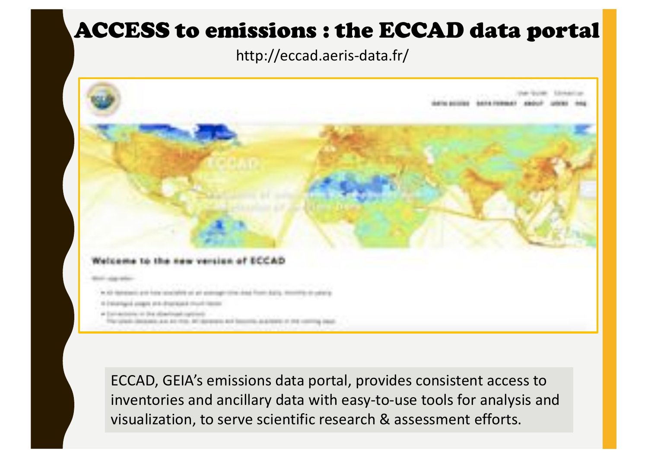## ACCESS to emissions : the ECCAD data portal

http://eccad.aeris-data.fr/



ECCAD, GEIA's emissions data portal, provides consistent access to inventories and ancillary data with easy-to-use tools for analysis and visualization, to serve scientific research & assessment efforts.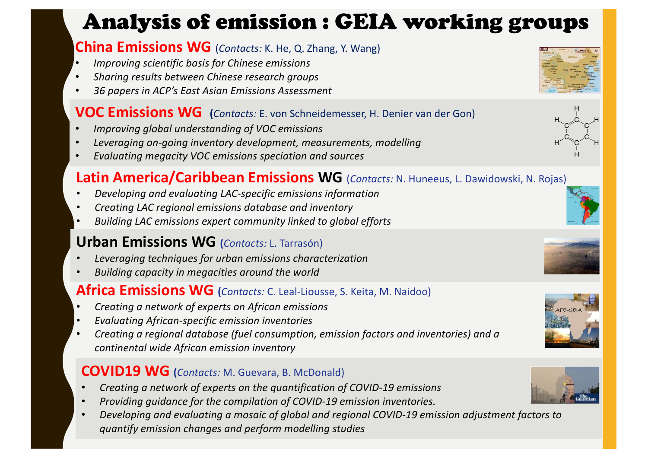# Analysis of emission : GEIA working groups

### **China Emissions WG** (*Contacts:* K. He, Q. Zhang, Y. Wang)

- *Improving scientific basis for Chinese emissions*
- **Sharing results between Chinese research groups**
- *36 papers in ACP's East Asian Emissions Assessment*

### **VOC Emissions WG** (Contacts: E. von Schneidemesser, H. Denier van der Gon)

- *Improving global understanding of VOC emissions*
- Leveraging on-going inventory development, measurements, modelling
- *Evaluating megacity VOC emissions speciation and sources*

## **Latin America/Caribbean Emissions WG** (*Contacts: N. Huneeus, L. Dawidowski, N. Rojas*)

- *Developing and evaluating LAC-specific emissions information*
- *Creating LAC regional emissions database and inventory*
- **Building LAC emissions expert community linked to global efforts**

## **Urban Emissions WG** (*Contacts:* L. Tarrasón)

- *Leveraging techniques for urban emissions characterization*
- **Building capacity in megacities around the world**

### **Africa Emissions WG** (*Contacts:* C. Leal-Liousse, S. Keita, M. Naidoo)

- *Creating a network of experts on African emissions*
- *Evaluating African-specific emission inventories*
- Creating a regional database (fuel consumption, emission factors and inventories) and a *continental wide African emission inventory*

## **COVID19 WG** (*Contacts:* M. Guevara, B. McDonald)

- *Creating a network of experts on the quantification of COVID-19 emissions*
- Providing guidance for the compilation of COVID-19 emission inventories.
- Developing and evaluating a mosaic of global and regional COVID-19 emission adjustment factors to *quantify emission changes and perform modelling studies*